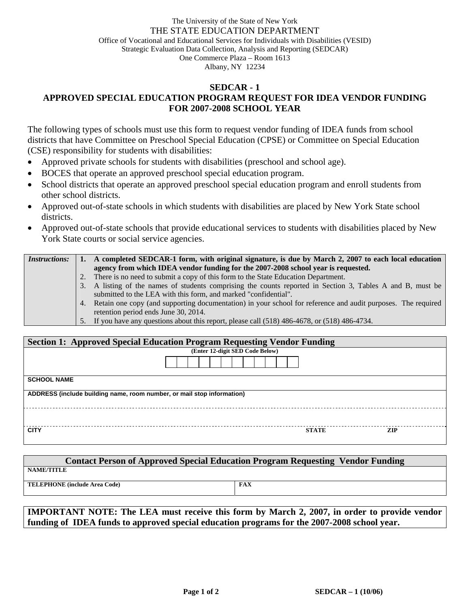## The University of the State of New York THE STATE EDUCATION DEPARTMENT Office of Vocational and Educational Services for Individuals with Disabilities (VESID) Strategic Evaluation Data Collection, Analysis and Reporting (SEDCAR) One Commerce Plaza – Room 1613 Albany, NY 12234

## **SEDCAR - 1 APPROVED SPECIAL EDUCATION PROGRAM REQUEST FOR IDEA VENDOR FUNDING FOR 2007-2008 SCHOOL YEAR**

The following types of schools must use this form to request vendor funding of IDEA funds from school districts that have Committee on Preschool Special Education (CPSE) or Committee on Special Education (CSE) responsibility for students with disabilities:

- Approved private schools for students with disabilities (preschool and school age).
- BOCES that operate an approved preschool special education program.
- School districts that operate an approved preschool special education program and enroll students from other school districts.
- Approved out-of-state schools in which students with disabilities are placed by New York State school districts.
- Approved out-of-state schools that provide educational services to students with disabilities placed by New York State courts or social service agencies.

| <i>Instructions:</i> |    | A completed SEDCAR-1 form, with original signature, is due by March 2, 2007 to each local education             |
|----------------------|----|-----------------------------------------------------------------------------------------------------------------|
|                      |    | agency from which IDEA vendor funding for the 2007-2008 school year is requested.                               |
|                      | 2. | There is no need to submit a copy of this form to the State Education Department.                               |
|                      |    | 3. A listing of the names of students comprising the counts reported in Section 3, Tables A and B, must be      |
|                      |    | submitted to the LEA with this form, and marked "confidential".                                                 |
|                      |    | 4. Retain one copy (and supporting documentation) in your school for reference and audit purposes. The required |
|                      |    | retention period ends June 30, 2014.                                                                            |
|                      |    | 5. If you have any questions about this report, please call (518) 486-4678, or (518) 486-4734.                  |

| <b>Section 1: Approved Special Education Program Requesting Vendor Funding</b> |                                 |              |      |  |  |  |  |  |
|--------------------------------------------------------------------------------|---------------------------------|--------------|------|--|--|--|--|--|
|                                                                                | (Enter 12-digit SED Code Below) |              |      |  |  |  |  |  |
|                                                                                |                                 |              |      |  |  |  |  |  |
| <b>SCHOOL NAME</b>                                                             |                                 |              |      |  |  |  |  |  |
| ADDRESS (include building name, room number, or mail stop information)         |                                 |              |      |  |  |  |  |  |
|                                                                                |                                 |              |      |  |  |  |  |  |
| <b>CITY</b>                                                                    |                                 | <b>STATE</b> | ZIP. |  |  |  |  |  |

| <b>Contact Person of Approved Special Education Program Requesting Vendor Funding</b> |            |  |  |  |  |  |  |  |
|---------------------------------------------------------------------------------------|------------|--|--|--|--|--|--|--|
| <b>NAME/TITLE</b>                                                                     |            |  |  |  |  |  |  |  |
| <b>TELEPHONE</b> (include Area Code)                                                  | <b>FAX</b> |  |  |  |  |  |  |  |

**IMPORTANT NOTE: The LEA must receive this form by March 2, 2007, in order to provide vendor funding of IDEA funds to approved special education programs for the 2007-2008 school year.**